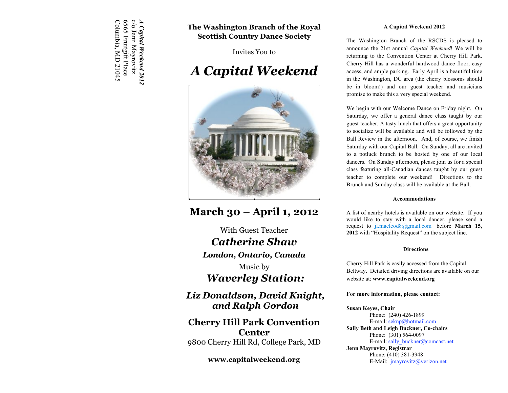c/o Jenn Mayrovitz<br>6565 Fruitgift Place<br>Columbia, MD 21045 *A Capital Weekend 2012*Columbia, MD 21045 6565 Fruitgift Place c/o Jenn Mayrovitz 4 Capital Weekend 2012

# **The Washington Branch of the Royal Scottish Country Dance Society**

Invites You to

# *A Capital Weekend*



# **March 30 – April 1, 2012**

With Guest Teacher *Catherine Shaw London, Ontario, Canada* Music by *Waverley Station:* 

*Liz Donaldson, David Knight, and Ralph Gordon*

# **Cherry Hill Park Convention Center** 9800 Cherry Hill Rd, College Park, MD

# **www.capitalweekend.org**

#### **A Capital Weekend 2012**

The Washington Branch of the RSCDS is pleased to announce the 21st annual *Capital Weekend*! We will be returning to the Convention Center at Cherry Hill Park. Cherry Hill has a wonderful hardwood dance floor, easy access, and ample parking. Early April is a beautiful time in the Washington, DC area (the cherry blossoms should be in bloom!) and our guest teacher and musicians promise to make this a very special weekend.

We begin with our Welcome Dance on Friday night. On Saturday, we offer a general dance class taught by our guest teacher. A tasty lunch that offers a great opportunity to socialize will be available and will be followed by the Ball Review in the afternoon. And, of course, we finish Saturday with our Capital Ball. On Sunday, all are invited to a potluck brunch to be hosted by one of our local dancers. On Sunday afternoon, please join us for a special class featuring all-Canadian dances taught by our guest teacher to complete our weekend! Directions to the Brunch and Sunday class will be available at the Ball.

#### **Accommodations**

A list of nearby hotels is available on our website. If you would like to stay with a local dancer, please send a request to jl.macleod8@gmail.com before **March 15, 2012** with "Hospitality Request" on the subject line.

#### **Directions**

Cherry Hill Park is easily accessed from the Capital Beltway. Detailed driving directions are available on our website at: **www.capitalweekend.org**

#### **For more information, please contact:**

#### **Susan Keyes, Chair**

Phone: (240) 426-1899 E-mail: seknp@hotmail.com **Sally Beth and Leigh Buckner, Co-chairs** Phone: (301) 564-0097 E-mail: sally\_buckner@comcast.net **Jenn Mayrovitz, Registrar** Phone: (410) 381-3948 E-Mail: jmayrovitz@verizon.net